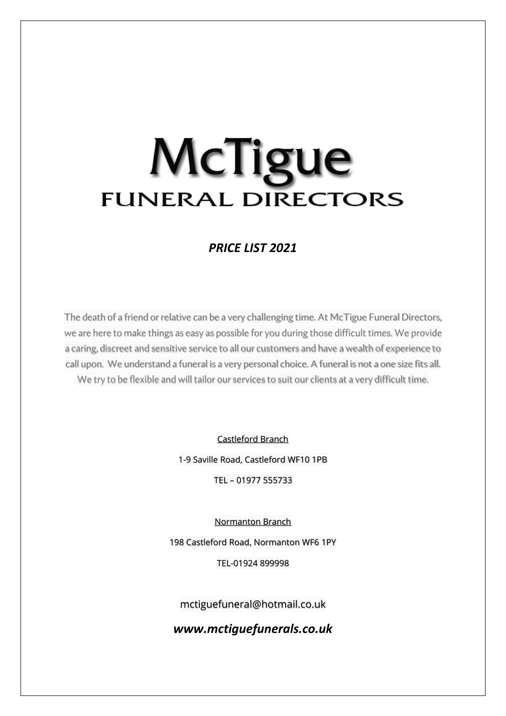### *PRICE LIST 2021*

The death of a friend or relative can be a very challenging time. At McTigue Funeral Directors, we are here to make things as easy as possible for you during those difficult times. We provide a caring, discreet and sensitive service to all our customers and have a wealth of experience to call upon. We understand a funeral is a very personal choice. A funeral is not a one size fits all. We try to be flexible and will tailor our services to suit our clients at a very difficult time.

Castleford Branch

1-9 Saville Road, Castleford WF10 1PB

TEL – 01977 555733

Normanton Branch

198 Castleford Road, Normanton WF6 1PY

TEL-01924 899998

mctiguefuneral@hotmail.co.uk

*www.mctiguefunerals.co.uk*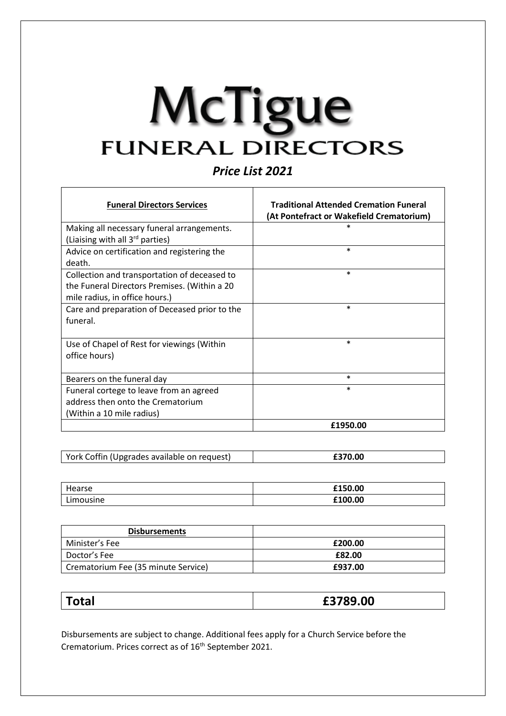*Price List 2021*

| <b>Funeral Directors Services</b>             | <b>Traditional Attended Cremation Funeral</b><br>(At Pontefract or Wakefield Crematorium) |
|-----------------------------------------------|-------------------------------------------------------------------------------------------|
| Making all necessary funeral arrangements.    | $\ast$                                                                                    |
| (Liaising with all 3 <sup>rd</sup> parties)   |                                                                                           |
| Advice on certification and registering the   | $\ast$                                                                                    |
| death.                                        |                                                                                           |
| Collection and transportation of deceased to  | $\ast$                                                                                    |
| the Funeral Directors Premises. (Within a 20  |                                                                                           |
| mile radius, in office hours.)                |                                                                                           |
| Care and preparation of Deceased prior to the | $\ast$                                                                                    |
| funeral.                                      |                                                                                           |
|                                               |                                                                                           |
| Use of Chapel of Rest for viewings (Within    | $\ast$                                                                                    |
| office hours)                                 |                                                                                           |
|                                               |                                                                                           |
| Bearers on the funeral day                    | $\ast$                                                                                    |
| Funeral cortege to leave from an agreed       | $\ast$                                                                                    |
| address then onto the Crematorium             |                                                                                           |
| (Within a 10 mile radius)                     |                                                                                           |
|                                               | £1950.00                                                                                  |

| York Coffin (Upgrades available on request) |  |
|---------------------------------------------|--|
|                                             |  |

| Hearse    | £150.00 |
|-----------|---------|
| Limousine | £100.00 |

| <b>Disbursements</b>                |         |
|-------------------------------------|---------|
| Minister's Fee                      | £200.00 |
| Doctor's Fee                        | £82.00  |
| Crematorium Fee (35 minute Service) | £937.00 |

| <b>otal</b> | 89.00<br>_ , , |
|-------------|----------------|
|             |                |

Disbursements are subject to change. Additional fees apply for a Church Service before the Crematorium. Prices correct as of 16th September 2021.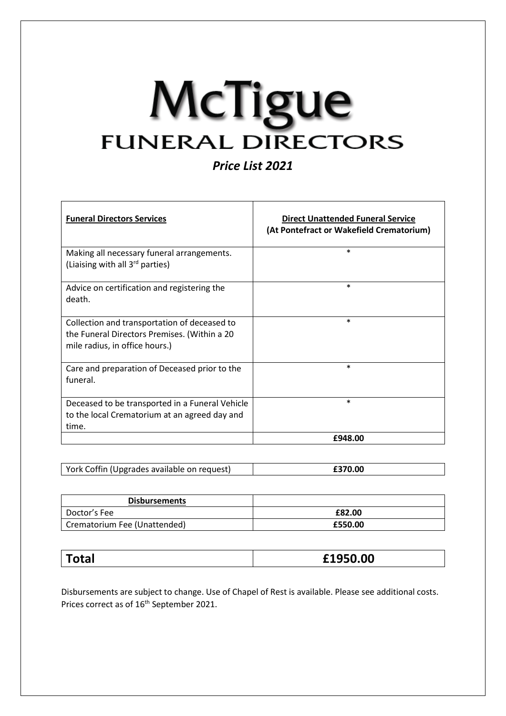*Price List 2021*

| <b>Funeral Directors Services</b>                                                                                              | <b>Direct Unattended Funeral Service</b><br>(At Pontefract or Wakefield Crematorium) |
|--------------------------------------------------------------------------------------------------------------------------------|--------------------------------------------------------------------------------------|
| Making all necessary funeral arrangements.<br>(Liaising with all 3rd parties)                                                  | $\ast$                                                                               |
| Advice on certification and registering the<br>death.                                                                          | $\ast$                                                                               |
| Collection and transportation of deceased to<br>the Funeral Directors Premises. (Within a 20<br>mile radius, in office hours.) | $\ast$                                                                               |
| Care and preparation of Deceased prior to the<br>funeral.                                                                      | $\ast$                                                                               |
| Deceased to be transported in a Funeral Vehicle<br>to the local Crematorium at an agreed day and<br>time.                      | $\ast$                                                                               |
|                                                                                                                                | £948.00                                                                              |

| York Coffin (Upgrades available on request) |  |
|---------------------------------------------|--|
|                                             |  |

| <b>Disbursements</b>         |         |
|------------------------------|---------|
| Doctor's Fee                 | £82.00  |
| Crematorium Fee (Unattended) | £550.00 |

Disbursements are subject to change. Use of Chapel of Rest is available. Please see additional costs. Prices correct as of 16<sup>th</sup> September 2021.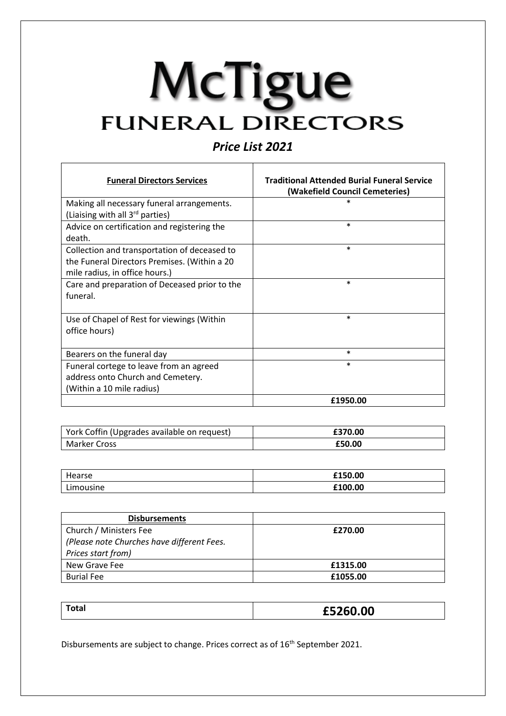### *Price List 2021*

| <b>Funeral Directors Services</b>             | <b>Traditional Attended Burial Funeral Service</b><br>(Wakefield Council Cemeteries) |
|-----------------------------------------------|--------------------------------------------------------------------------------------|
| Making all necessary funeral arrangements.    |                                                                                      |
| (Liaising with all 3 <sup>rd</sup> parties)   |                                                                                      |
| Advice on certification and registering the   | $\ast$                                                                               |
| death.                                        |                                                                                      |
| Collection and transportation of deceased to  | $\ast$                                                                               |
| the Funeral Directors Premises. (Within a 20  |                                                                                      |
| mile radius, in office hours.)                |                                                                                      |
| Care and preparation of Deceased prior to the | $\ast$                                                                               |
| funeral.                                      |                                                                                      |
|                                               |                                                                                      |
| Use of Chapel of Rest for viewings (Within    | $\ast$                                                                               |
| office hours)                                 |                                                                                      |
|                                               |                                                                                      |
| Bearers on the funeral day                    | $\ast$                                                                               |
| Funeral cortege to leave from an agreed       | $\ast$                                                                               |
| address onto Church and Cemetery.             |                                                                                      |
| (Within a 10 mile radius)                     |                                                                                      |
|                                               | £1950.00                                                                             |

| York Coffin (Upgrades available on request) | £370.00 |
|---------------------------------------------|---------|
| Marker Cross                                | £50.00  |

| Hearse    | £150.00 |
|-----------|---------|
| Limousine | £100.00 |

| <b>Disbursements</b>                       |          |
|--------------------------------------------|----------|
| Church / Ministers Fee                     | £270.00  |
| (Please note Churches have different Fees. |          |
| Prices start from)                         |          |
| New Grave Fee                              | £1315.00 |
| <b>Burial Fee</b>                          | £1055.00 |

| Total<br>£5260.00 |  |
|-------------------|--|
|-------------------|--|

Disbursements are subject to change. Prices correct as of 16th September 2021.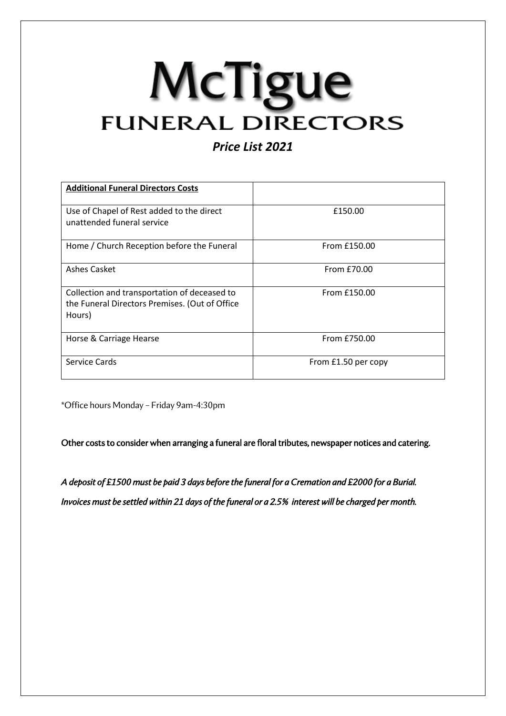### *Price List 2021*

| <b>Additional Funeral Directors Costs</b>                                                                |                     |
|----------------------------------------------------------------------------------------------------------|---------------------|
| Use of Chapel of Rest added to the direct<br>unattended funeral service                                  | £150.00             |
| Home / Church Reception before the Funeral                                                               | From £150.00        |
| <b>Ashes Casket</b>                                                                                      | From £70.00         |
| Collection and transportation of deceased to<br>the Funeral Directors Premises. (Out of Office<br>Hours) | From £150.00        |
| Horse & Carriage Hearse                                                                                  | From £750.00        |
| Service Cards                                                                                            | From £1.50 per copy |

\*Office hours Monday – Friday 9am-4:30pm

Other costs to consider when arranging a funeral are floral tributes, newspaper notices and catering.

*A deposit of £1500 must be paid 3 days before the funeral for a Cremation and £2000 for a Burial. Invoices must be settled within 21 days of the funeral or a 2.5% interest will be charged per month.*